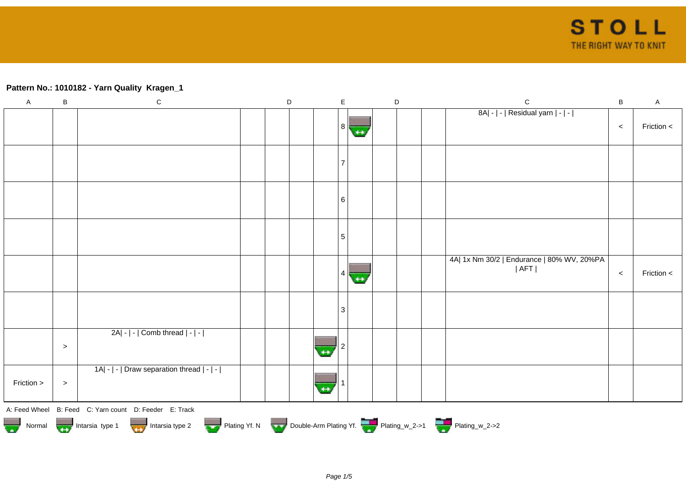## **Pattern No.: 1010182 - Yarn Quality Kragen\_1**

| $\mathsf A$ | $\sf B$ | ${\bf C}$                                                                        | D |                | $\mathsf E$     |                   | $\mathsf D$ | ${\bf C}$                                                 | $\sf B$ | $\mathsf A$  |
|-------------|---------|----------------------------------------------------------------------------------|---|----------------|-----------------|-------------------|-------------|-----------------------------------------------------------|---------|--------------|
|             |         |                                                                                  |   |                | 8               | $\leftrightarrow$ |             | 8A  -   -   Residual yarn   -   -                         | $\,<$   | Friction $<$ |
|             |         |                                                                                  |   |                |                 |                   |             |                                                           |         |              |
|             |         |                                                                                  |   |                | 6               |                   |             |                                                           |         |              |
|             |         |                                                                                  |   |                | $5\overline{5}$ |                   |             |                                                           |         |              |
|             |         |                                                                                  |   |                | 4               | $\leftrightarrow$ |             | 4A  1x Nm 30/2   Endurance   80% WV, 20%PA<br>$ $ AFT $ $ | $\,<$   | Friction $<$ |
|             |         |                                                                                  |   |                | $\overline{3}$  |                   |             |                                                           |         |              |
|             | $\,>$   | 2A  -   -   Comb thread   -   -                                                  |   | $\overline{H}$ |                 |                   |             |                                                           |         |              |
| Friction >  | $\, >$  | 1A  -   -   Draw separation thread   -   -                                       |   | $\overline{+}$ |                 |                   |             |                                                           |         |              |
|             |         | A: Feed Wheel B: Feed C: Yarn count D: Feeder E: Track                           |   |                |                 |                   |             |                                                           |         |              |
|             |         | Normal More Intarsia type 1 Intarsia type 2 Plating Yf. N Double-Arm Plating Yf. |   |                |                 |                   |             |                                                           |         |              |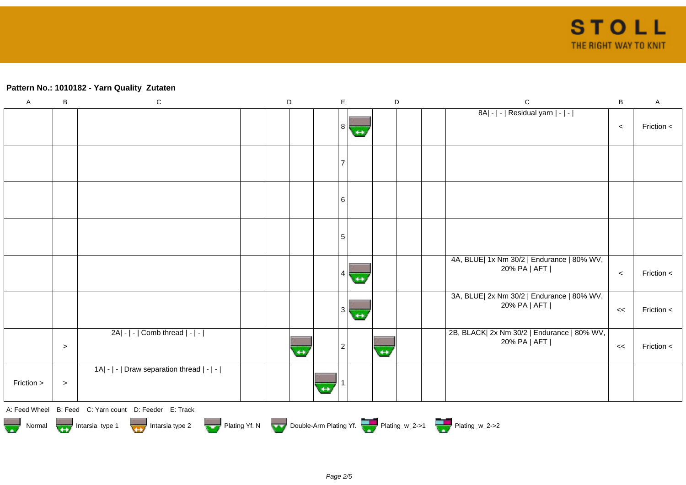## **Pattern No.: 1010182 - Yarn Quality Zutaten**

| $\mathsf{A}$ | $\sf B$ | ${\bf C}$                                                                   | $\mathsf D$ |  | E              |                   | $\mathsf D$    |  | $\mathsf C$                                                 | $\sf B$ | $\mathsf A$ |
|--------------|---------|-----------------------------------------------------------------------------|-------------|--|----------------|-------------------|----------------|--|-------------------------------------------------------------|---------|-------------|
|              |         |                                                                             |             |  | 8 <sup>1</sup> | $\leftrightarrow$ |                |  | 8A  -   -   Residual yarn   -   -                           | $\,<$   | Friction <  |
|              |         |                                                                             |             |  | 7              |                   |                |  |                                                             |         |             |
|              |         |                                                                             |             |  | 6              |                   |                |  |                                                             |         |             |
|              |         |                                                                             |             |  | 5              |                   |                |  |                                                             |         |             |
|              |         |                                                                             |             |  |                | $\leftrightarrow$ |                |  | 4A, BLUE  1x Nm 30/2   Endurance   80% WV,<br>20% PA   AFT  | $\,<\,$ | Friction <  |
|              |         |                                                                             |             |  | 3              | $+$               |                |  | 3A, BLUE  2x Nm 30/2   Endurance   80% WV,<br>20% PA   AFT  | <<      | Friction <  |
|              | $\geq$  | $2A - - $ Comb thread $ - - $                                               |             |  | $\overline{2}$ |                   | $\overline{a}$ |  | 2B, BLACK  2x Nm 30/2   Endurance   80% WV,<br>20% PA   AFT | <<      | Friction <  |
| Friction >   | $\,>$   | 1A  -   -   Draw separation thread   -   -                                  |             |  |                |                   |                |  |                                                             |         |             |
|              |         | A: Feed Wheel B: Feed C: Yarn count D: Feeder E: Track                      |             |  |                |                   |                |  |                                                             |         |             |
|              |         | Normal Intarsia type 1 Intarsia type 2 Plating Yf. N Double-Arm Plating Yf. |             |  |                |                   |                |  |                                                             |         |             |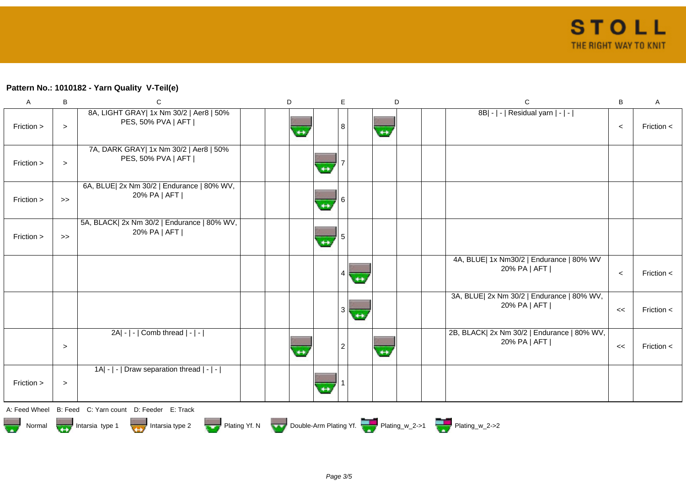## **Pattern No.: 1010182 - Yarn Quality V-Teil(e)**

| A                     | B                 | $\mathsf{C}$                                                  | D |                   | E |                   | D | $\mathbf C$                                                        | B     | Α              |
|-----------------------|-------------------|---------------------------------------------------------------|---|-------------------|---|-------------------|---|--------------------------------------------------------------------|-------|----------------|
| Friction >            | $\, >$            | 8A, LIGHT GRAY  1x Nm 30/2   Aer8   50%<br>PES, 50% PVA   AFT |   |                   | 8 | $\leftrightarrow$ |   | 8B  -   -   Residual yarn   -   -                                  | $\,<$ | Friction $\lt$ |
| Friction >            | $\, >$            | 7A, DARK GRAY  1x Nm 30/2   Aer8   50%<br>PES, 50% PVA   AFT  |   | $\leftrightarrow$ |   |                   |   |                                                                    |       |                |
| Friction >            | $\boldsymbol{>}$  | 6A, BLUE  2x Nm 30/2   Endurance   80% WV,<br>20% PA   AFT    |   | $\leftrightarrow$ | 6 |                   |   |                                                                    |       |                |
| Friction >            | $\boldsymbol{>>}$ | 5A, BLACK  2x Nm 30/2   Endurance   80% WV,<br>20% PA   AFT   |   | $\overline{ }$    |   |                   |   |                                                                    |       |                |
|                       |                   |                                                               |   |                   | 4 | $\leftrightarrow$ |   | 4A, BLUE  1x Nm30/2   Endurance   80% WV<br>20% PA   AFT           | $\,<$ | Friction $<$   |
|                       |                   |                                                               |   |                   | 3 | $+$               |   | 3A, BLUE  2x Nm 30/2   Endurance   80% WV,<br>20% PA   AFT         | <<    | Friction <     |
|                       | $\, >$            | $2A - - $ Comb thread $ - - $                                 |   |                   | 2 | $\leftrightarrow$ |   | 2B, BLACK  2x Nm 30/2   Endurance   80% WV,<br>20% PA   AFT        | $\,<$ | Friction $\lt$ |
| Friction >            | $\, > \,$         | 1A  -   -   Draw separation thread   -   -                    |   | $\leftrightarrow$ |   |                   |   |                                                                    |       |                |
|                       |                   | A: Feed Wheel B: Feed C: Yarn count D: Feeder E: Track        |   |                   |   |                   |   |                                                                    |       |                |
| <b>Read</b><br>Normal |                   | Intarsia type 2<br>Intarsia type 1                            |   |                   |   |                   |   | Plating Yf. N Double-Arm Plating Yf. Plating w_2->1 Plating_w_2->2 |       |                |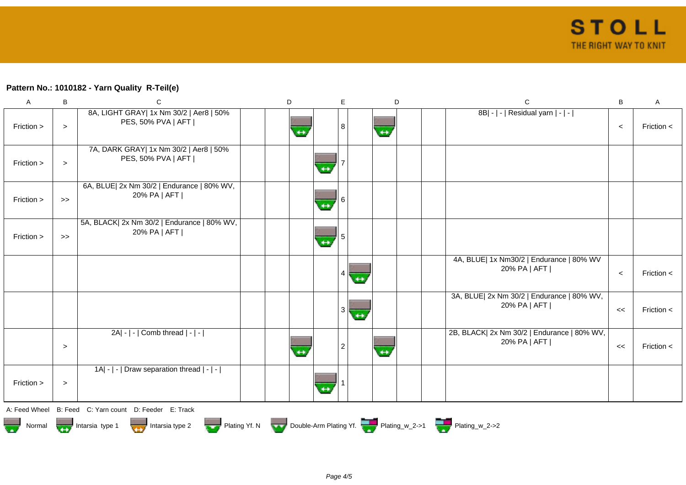## **Pattern No.: 1010182 - Yarn Quality R-Teil(e)**

| $\mathsf A$           | B      | C                                                             | D |                   | E | D                 | $\mathsf C$                                                        | $\sf B$ | $\mathsf A$    |
|-----------------------|--------|---------------------------------------------------------------|---|-------------------|---|-------------------|--------------------------------------------------------------------|---------|----------------|
| Friction >            | $\geq$ | 8A, LIGHT GRAY  1x Nm 30/2   Aer8   50%<br>PES, 50% PVA   AFT |   |                   | 8 | $\leftrightarrow$ | 8B  -   -   Residual yarn   -   -                                  | $\,<$   | Friction $<$   |
| Friction >            | $\geq$ | 7A, DARK GRAY  1x Nm 30/2   Aer8   50%<br>PES, 50% PVA   AFT  |   | $+$               |   |                   |                                                                    |         |                |
| Friction >            | $>\!>$ | 6A, BLUE  2x Nm 30/2   Endurance   80% WV,<br>20% PA   AFT    |   | $\leftrightarrow$ |   |                   |                                                                    |         |                |
| Friction >            | $>$    | 5A, BLACK  2x Nm 30/2   Endurance   80% WV,<br>20% PA   AFT   |   | $\leftrightarrow$ |   |                   |                                                                    |         |                |
|                       |        |                                                               |   |                   |   |                   | 4A, BLUE  1x Nm30/2   Endurance   80% WV<br>20% PA   AFT           | $\,<$   | Friction <     |
|                       |        |                                                               |   |                   |   |                   | 3A, BLUE  2x Nm 30/2   Endurance   80% WV,<br>20% PA   AFT         | <<      | Friction $<$   |
|                       | $\geq$ | 2A  -   -   Comb thread   -   -                               |   |                   |   | $\leftrightarrow$ | 2B, BLACK  2x Nm 30/2   Endurance   80% WV,<br>20% PA   AFT        | $\,<$   | Friction $\lt$ |
| Friction >            | $\,>$  | 1A  -   -   Draw separation thread   -   -                    |   | $\overline{+}$    |   |                   |                                                                    |         |                |
| A: Feed Wheel         |        | B: Feed C: Yarn count D: Feeder E: Track                      |   |                   |   |                   |                                                                    |         |                |
| i<br>Tarihi<br>Normal |        | Intarsia type 1<br>Intarsia type 2                            |   |                   |   |                   | Plating Yf. N Double-Arm Plating Yf. Plating w_2->1 Plating w_2->2 |         |                |